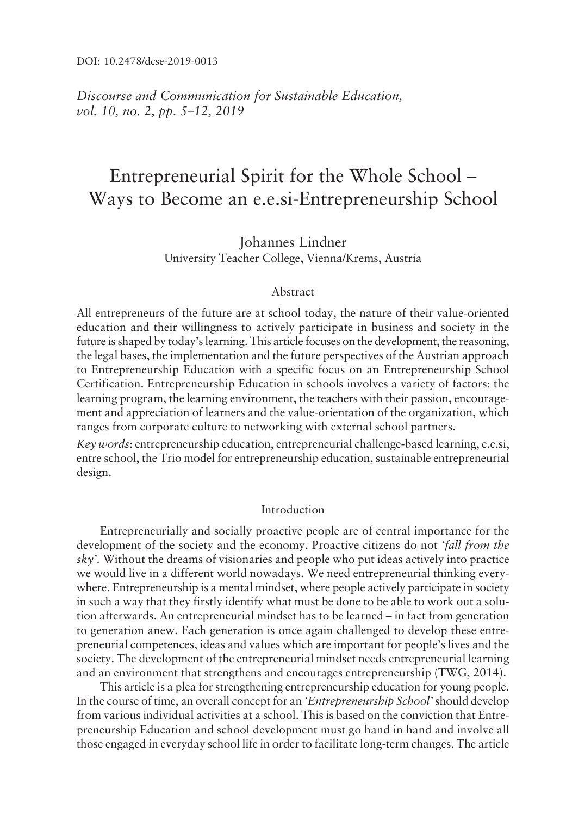*Discourse and Communication for Sustainable Education, vol.* 10, no. 2, pp. 5–12, 2019

# Entrepreneurial Spirit for the Whole School – Ways to Become an e.e.si-Entrepreneurship School

Johannes Lindner University Teacher College, Vienna/Krems, Austria

## Abstract

All entrepreneurs of the future are at school today, the nature of their value-oriented education and their willingness to actively participate in business and society in the future is shaped by today's learning. This article focuses on the development, the reasoning, the legal bases, the implementation and the future perspectives of the Austrian approach to Entrepreneurship Education with a specific focus on an Entrepreneurship School Certification. Entrepreneurship Education in schools involves a variety of factors: the learning program, the learning environment, the teachers with their passion, encouragement and appreciation of learners and the value-orientation of the organization, which ranges from corporate culture to networking with external school partners.

*Key words*: entrepreneurship education, entrepreneurial challenge-based learning, e.e.si, entre school, the Trio model for entrepreneurship education, sustainable entrepreneurial design.

#### Introduction

Entrepreneurially and socially proactive people are of central importance for the development of the society and the economy. Proactive citizens do not *ëfall from the* sky'. Without the dreams of visionaries and people who put ideas actively into practice we would live in a different world nowadays. We need entrepreneurial thinking everywhere. Entrepreneurship is a mental mindset, where people actively participate in society in such a way that they firstly identify what must be done to be able to work out a solution afterwards. An entrepreneurial mindset has to be learned – in fact from generation to generation anew. Each generation is once again challenged to develop these entrepreneurial competences, ideas and values which are important for people's lives and the society. The development of the entrepreneurial mindset needs entrepreneurial learning and an environment that strengthens and encourages entrepreneurship (TWG, 2014).

This article is a plea for strengthening entrepreneurship education for young people. In the course of time, an overall concept for an *ëEntrepreneurship Schoolí* should develop from various individual activities at a school. This is based on the conviction that Entrepreneurship Education and school development must go hand in hand and involve all those engaged in everyday school life in order to facilitate long-term changes. The article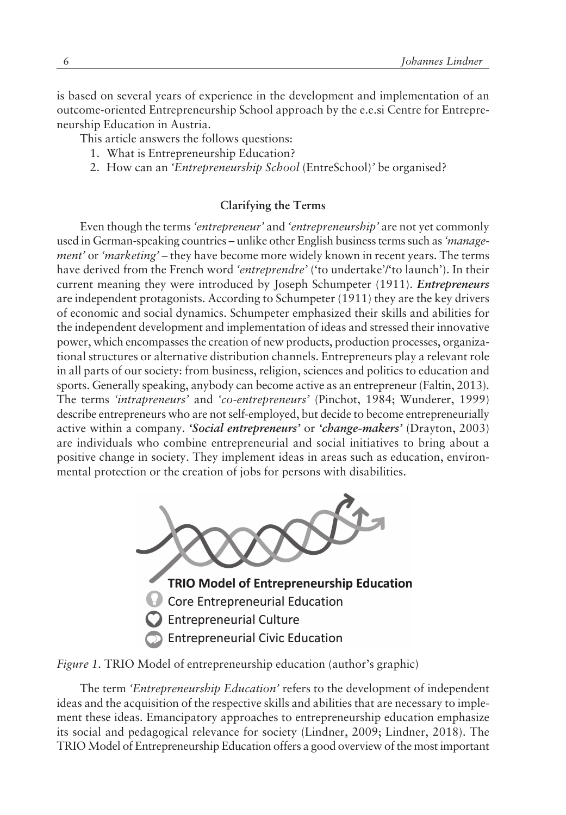is based on several years of experience in the development and implementation of an outcome-oriented Entrepreneurship School approach by the e.e.si Centre for Entrepreneurship Education in Austria.

This article answers the follows questions:

- 1. What is Entrepreneurship Education?
- 2. How can an *ëEntrepreneurship School* (EntreSchool)*í* be organised?

# **Clarifying the Terms**

Even though the terms *ëentrepreneurí* and *ëentrepreneurshipí* are not yet commonly used in German-speaking countries - unlike other English business terms such as 'manage*ment'* or 'marketing' - they have become more widely known in recent years. The terms have derived from the French word 'entreprendre' ('to undertake'/'to launch'). In their current meaning they were introduced by Joseph Schumpeter (1911). *Entrepreneurs* are independent protagonists. According to Schumpeter (1911) they are the key drivers of economic and social dynamics. Schumpeter emphasized their skills and abilities for the independent development and implementation of ideas and stressed their innovative power, which encompasses the creation of new products, production processes, organizational structures or alternative distribution channels. Entrepreneurs play a relevant role in all parts of our society: from business, religion, sciences and politics to education and sports. Generally speaking, anybody can become active as an entrepreneur (Faltin, 2013). The terms *ëintrapreneursí* and *ëco-entrepreneursí* (Pinchot, 1984; Wunderer, 1999) describe entrepreneurs who are not self-employed, but decide to become entrepreneurially active within a company. *'Social entrepreneurs'* or *'change-makers'* (Drayton, 2003) are individuals who combine entrepreneurial and social initiatives to bring about a positive change in society. They implement ideas in areas such as education, environmental protection or the creation of jobs for persons with disabilities.





The term *ëEntrepreneurship Educationí* refers to the development of independent ideas and the acquisition of the respective skills and abilities that are necessary to implement these ideas. Emancipatory approaches to entrepreneurship education emphasize its social and pedagogical relevance for society (Lindner, 2009; Lindner, 2018). The TRIO Model of Entrepreneurship Education offers a good overview of the most important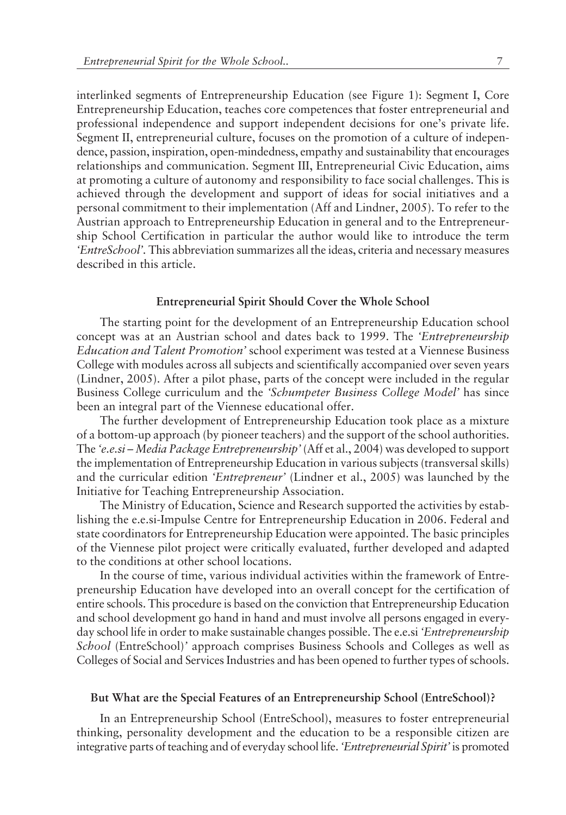interlinked segments of Entrepreneurship Education (see Figure 1): Segment I, Core Entrepreneurship Education, teaches core competences that foster entrepreneurial and professional independence and support independent decisions for one's private life. Segment II, entrepreneurial culture, focuses on the promotion of a culture of independence, passion, inspiration, open-mindedness, empathy and sustainability that encourages relationships and communication. Segment III, Entrepreneurial Civic Education, aims at promoting a culture of autonomy and responsibility to face social challenges. This is achieved through the development and support of ideas for social initiatives and a personal commitment to their implementation (Aff and Lindner, 2005). To refer to the Austrian approach to Entrepreneurship Education in general and to the Entrepreneurship School Certification in particular the author would like to introduce the term *ëEntreSchoolí.* This abbreviation summarizes all the ideas, criteria and necessary measures described in this article.

#### **Entrepreneurial Spirit Should Cover the Whole School**

The starting point for the development of an Entrepreneurship Education school concept was at an Austrian school and dates back to 1999. The *ëEntrepreneurship Education and Talent Promotioní* school experiment was tested at a Viennese Business College with modules across all subjects and scientifically accompanied over seven years (Lindner, 2005). After a pilot phase, parts of the concept were included in the regular Business College curriculum and the 'Schumpeter Business College Model' has since been an integral part of the Viennese educational offer.

The further development of Entrepreneurship Education took place as a mixture of a bottom-up approach (by pioneer teachers) and the support of the school authorities. The 'e.e.si - Media Package Entrepreneurship' (Aff et al., 2004) was developed to support the implementation of Entrepreneurship Education in various subjects (transversal skills) and the curricular edition 'Entrepreneur' (Lindner et al., 2005) was launched by the Initiative for Teaching Entrepreneurship Association.

The Ministry of Education, Science and Research supported the activities by establishing the e.e.si-Impulse Centre for Entrepreneurship Education in 2006. Federal and state coordinators for Entrepreneurship Education were appointed. The basic principles of the Viennese pilot project were critically evaluated, further developed and adapted to the conditions at other school locations.

In the course of time, various individual activities within the framework of Entrepreneurship Education have developed into an overall concept for the certification of entire schools. This procedure is based on the conviction that Entrepreneurship Education and school development go hand in hand and must involve all persons engaged in everyday school life in order to make sustainable changes possible. The e.e.si *ëEntrepreneurship School* (EntreSchool)*í* approach comprises Business Schools and Colleges as well as Colleges of Social and Services Industries and has been opened to further types of schools.

#### **But What are the Special Features of an Entrepreneurship School (EntreSchool)?**

In an Entrepreneurship School (EntreSchool), measures to foster entrepreneurial thinking, personality development and the education to be a responsible citizen are integrative parts of teaching and of everyday school life. *ëEntrepreneurial Spirití* is promoted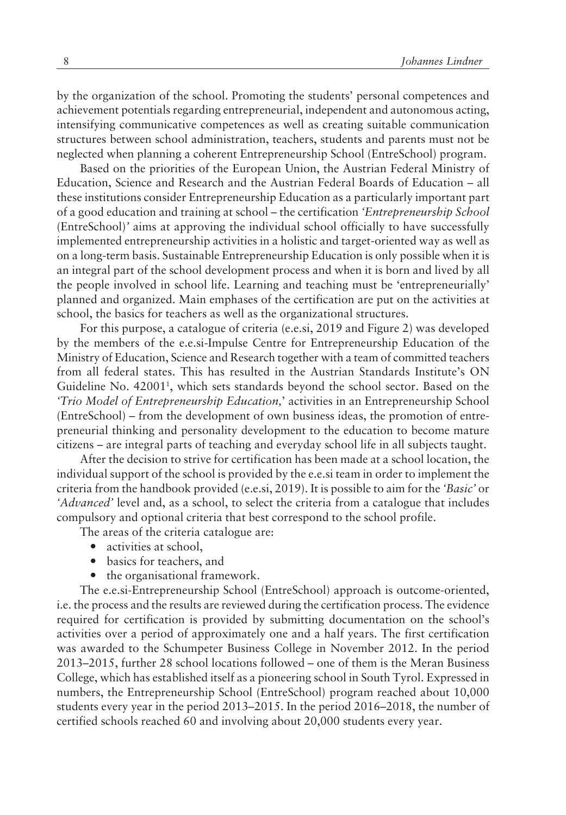by the organization of the school. Promoting the students' personal competences and achievement potentials regarding entrepreneurial, independent and autonomous acting, intensifying communicative competences as well as creating suitable communication structures between school administration, teachers, students and parents must not be neglected when planning a coherent Entrepreneurship School (EntreSchool) program.

Based on the priorities of the European Union, the Austrian Federal Ministry of Education, Science and Research and the Austrian Federal Boards of Education – all these institutions consider Entrepreneurship Education as a particularly important part of a good education and training at school ñ the certification *ëEntrepreneurship School* (EntreSchool)*í* aims at approving the individual school officially to have successfully implemented entrepreneurship activities in a holistic and target-oriented way as well as on a long-term basis. Sustainable Entrepreneurship Education is only possible when it is an integral part of the school development process and when it is born and lived by all the people involved in school life. Learning and teaching must be 'entrepreneurially' planned and organized. Main emphases of the certification are put on the activities at school, the basics for teachers as well as the organizational structures.

For this purpose, a catalogue of criteria (e.e.si, 2019 and Figure 2) was developed by the members of the e.e.si-Impulse Centre for Entrepreneurship Education of the Ministry of Education, Science and Research together with a team of committed teachers from all federal states. This has resulted in the Austrian Standards Institute's ON Guideline No. 42001<sup>1</sup> , which sets standards beyond the school sector. Based on the *fTrio Model of Entrepreneurship Education*,' activities in an Entrepreneurship School  $(Entreschool) - from the development of own business ideas, the promotion of entire$ preneurial thinking and personality development to the education to become mature citizens – are integral parts of teaching and everyday school life in all subjects taught.

After the decision to strive for certification has been made at a school location, the individual support of the school is provided by the e.e.si team in order to implement the criteria from the handbook provided (e.e.si, 2019). It is possible to aim for the *ëBasicí* or *'Advanced'* level and, as a school, to select the criteria from a catalogue that includes compulsory and optional criteria that best correspond to the school profile.

The areas of the criteria catalogue are:

- activities at school,
- ó basics for teachers, and
- the organisational framework.

The e.e.si-Entrepreneurship School (EntreSchool) approach is outcome-oriented, i.e. the process and the results are reviewed during the certification process. The evidence required for certification is provided by submitting documentation on the schoolís activities over a period of approximately one and a half years. The first certification was awarded to the Schumpeter Business College in November 2012. In the period 2013-2015, further 28 school locations followed - one of them is the Meran Business College, which has established itself as a pioneering school in South Tyrol. Expressed in numbers, the Entrepreneurship School (EntreSchool) program reached about 10,000 students every year in the period  $2013-2015$ . In the period  $2016-2018$ , the number of certified schools reached 60 and involving about 20,000 students every year.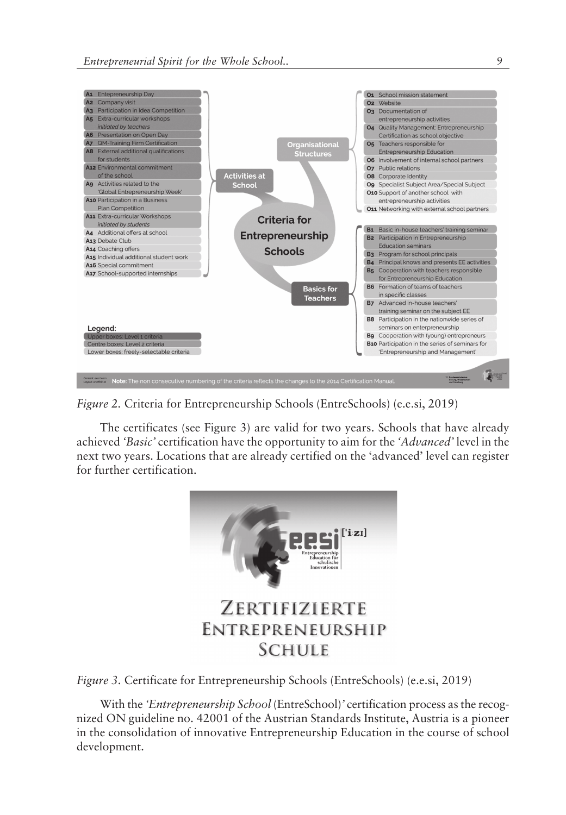

*Figure 2.* Criteria for Entrepreneurship Schools (EntreSchools) (e.e.si, 2019)

The certificates (see Figure 3) are valid for two years. Schools that have already achieved *'Basic'* certification have the opportunity to aim for the *'Advanced'* level in the next two years. Locations that are already certified on the 'advanced' level can register for further certification.



*Figure 3.* Certificate for Entrepreneurship Schools (EntreSchools) (e.e.si, 2019)

With the *ëEntrepreneurship School* (EntreSchool)*í* certification process as the recognized ON guideline no. 42001 of the Austrian Standards Institute, Austria is a pioneer in the consolidation of innovative Entrepreneurship Education in the course of school development.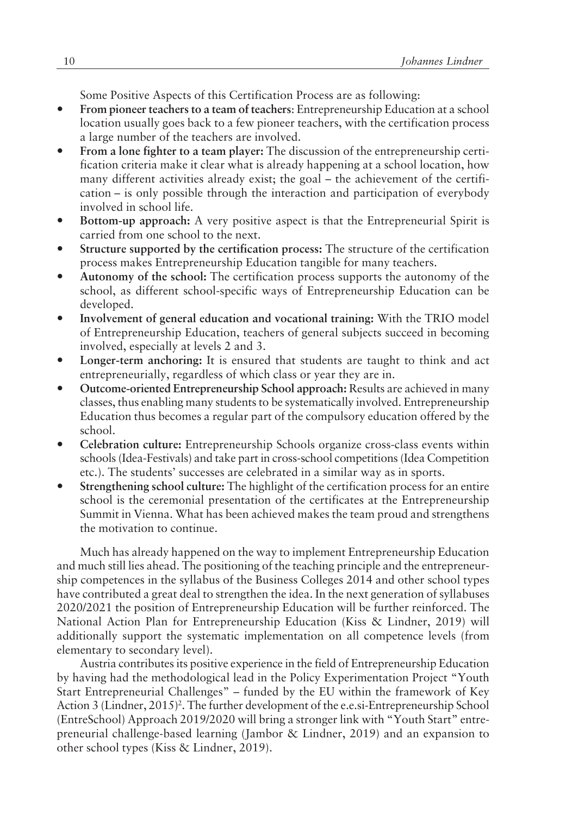Some Positive Aspects of this Certification Process are as following:

- ó **From pioneer teachers to a team of teachers**: Entrepreneurship Education at a school location usually goes back to a few pioneer teachers, with the certification process a large number of the teachers are involved.
- From a lone fighter to a team player: The discussion of the entrepreneurship certification criteria make it clear what is already happening at a school location, how many different activities already exist; the goal  $-$  the achievement of the certification – is only possible through the interaction and participation of everybody involved in school life.
- **Bottom-up approach:** A very positive aspect is that the Entrepreneurial Spirit is carried from one school to the next.
- ó **Structure supported by the certification process:** The structure of the certification process makes Entrepreneurship Education tangible for many teachers.
- Autonomy of the school: The certification process supports the autonomy of the school, as different school-specific ways of Entrepreneurship Education can be developed.
- ó **Involvement of general education and vocational training:** With the TRIO model of Entrepreneurship Education, teachers of general subjects succeed in becoming involved, especially at levels 2 and 3.
- **Longer-term anchoring:** It is ensured that students are taught to think and act entrepreneurially, regardless of which class or year they are in.
- ó **Outcome-oriented Entrepreneurship School approach:** Results are achieved in many classes, thus enabling many students to be systematically involved. Entrepreneurship Education thus becomes a regular part of the compulsory education offered by the school.
- ó **Celebration culture:** Entrepreneurship Schools organize cross-class events within schools (Idea-Festivals) and take part in cross-school competitions (Idea Competition etc.). The students' successes are celebrated in a similar way as in sports.
- ó **Strengthening school culture:** The highlight of the certification process for an entire school is the ceremonial presentation of the certificates at the Entrepreneurship Summit in Vienna. What has been achieved makes the team proud and strengthens the motivation to continue.

Much has already happened on the way to implement Entrepreneurship Education and much still lies ahead. The positioning of the teaching principle and the entrepreneurship competences in the syllabus of the Business Colleges 2014 and other school types have contributed a great deal to strengthen the idea. In the next generation of syllabuses 2020/2021 the position of Entrepreneurship Education will be further reinforced. The National Action Plan for Entrepreneurship Education (Kiss & Lindner, 2019) will additionally support the systematic implementation on all competence levels (from elementary to secondary level).

Austria contributes its positive experience in the field of Entrepreneurship Education by having had the methodological lead in the Policy Experimentation Project "Youth" Start Entrepreneurial Challenges" – funded by the EU within the framework of Key Action 3 (Lindner, 2015)<sup>2</sup>. The further development of the e.e.si-Entrepreneurship School (EntreSchool) Approach 2019/2020 will bring a stronger link with "Youth Start" entrepreneurial challenge-based learning (Jambor & Lindner, 2019) and an expansion to other school types (Kiss & Lindner, 2019).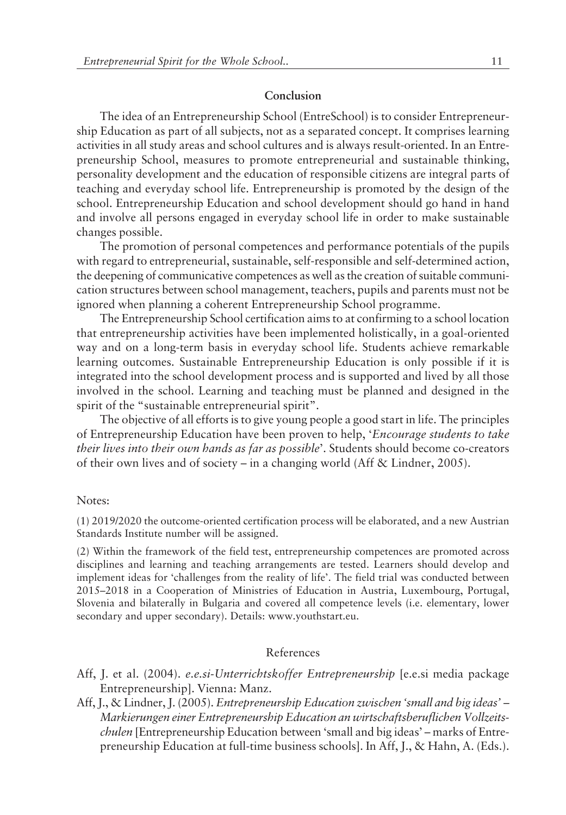#### **Conclusion**

The idea of an Entrepreneurship School (EntreSchool) is to consider Entrepreneurship Education as part of all subjects, not as a separated concept. It comprises learning activities in all study areas and school cultures and is always result-oriented. In an Entrepreneurship School, measures to promote entrepreneurial and sustainable thinking, personality development and the education of responsible citizens are integral parts of teaching and everyday school life. Entrepreneurship is promoted by the design of the school. Entrepreneurship Education and school development should go hand in hand and involve all persons engaged in everyday school life in order to make sustainable changes possible.

The promotion of personal competences and performance potentials of the pupils with regard to entrepreneurial, sustainable, self-responsible and self-determined action, the deepening of communicative competences as well as the creation of suitable communication structures between school management, teachers, pupils and parents must not be ignored when planning a coherent Entrepreneurship School programme.

The Entrepreneurship School certification aims to at confirming to a school location that entrepreneurship activities have been implemented holistically, in a goal-oriented way and on a long-term basis in everyday school life. Students achieve remarkable learning outcomes. Sustainable Entrepreneurship Education is only possible if it is integrated into the school development process and is supported and lived by all those involved in the school. Learning and teaching must be planned and designed in the spirit of the "sustainable entrepreneurial spirit".

The objective of all efforts is to give young people a good start in life. The principles of Entrepreneurship Education have been proven to help, ë*Encourage students to take* their lives into their own hands as far as possible'. Students should become co-creators of their own lives and of society – in a changing world (Aff & Lindner, 2005).

#### Notes:

(1) 2019/2020 the outcome-oriented certification process will be elaborated, and a new Austrian Standards Institute number will be assigned.

(2) Within the framework of the field test, entrepreneurship competences are promoted across disciplines and learning and teaching arrangements are tested. Learners should develop and implement ideas for 'challenges from the reality of life'. The field trial was conducted between 2015–2018 in a Cooperation of Ministries of Education in Austria, Luxembourg, Portugal, Slovenia and bilaterally in Bulgaria and covered all competence levels (i.e. elementary, lower secondary and upper secondary). Details: www.youthstart.eu.

## References

- Aff, J. et al. (2004). *e.e.si-Unterrichtskoffer Entrepreneurship* [e.e.si media package Entrepreneurship]. Vienna: Manz.
- Aff, J., & Lindner, J. (2005). *Entrepreneurship Education zwischen ësmall and big ideasí ñ Markierungen einer Entrepreneurship Education an wirtschaftsberuflichen Vollzeitschulen* [Entrepreneurship Education between 'small and big ideas' – marks of Entrepreneurship Education at full-time business schools]. In Aff, J., & Hahn, A. (Eds.).